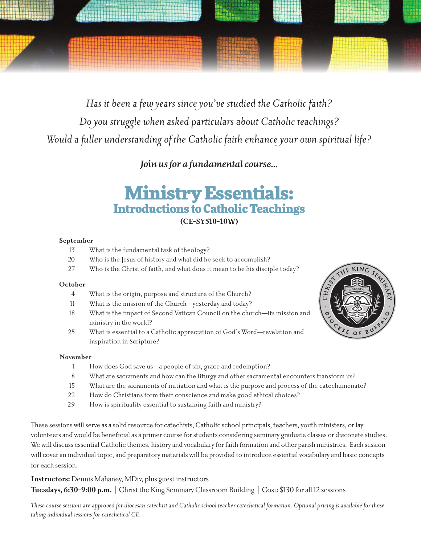

*Has it been a few years since you've studied the Catholic faith? Do you struggle when asked particulars about Catholic teachings? Would a fuller understanding of the Catholic faith enhance your own spiritual life?*

*Join us for a fundamental course...*

## Ministry Essentials: Introductions to Catholic Teachings **(CE-SY510-10W)**

#### **September**

- 13 What is the fundamental task of theology?
- 20 Who is the Jesus of history and what did he seek to accomplish?
- 27 Who is the Christ of faith, and what does it mean to be his disciple today?

#### **October**

- 4 What is the origin, purpose and structure of the Church?
- 11 What is the mission of the Church—yesterday and today?
- 18 What is the impact of Second Vatican Council on the church—its mission and ministry in the world?
- 25 What is essential to a Catholic appreciation of God's Word—revelation and inspiration in Scripture?



#### **November**

- 1 How does God save us—a people of sin, grace and redemption?
- 8 What are sacraments and how can the liturgy and other sacramental encounters transform us?
- 15 What are the sacraments of initiation and what is the purpose and process of the catechumenate?
- 22 How do Christians form their conscience and make good ethical choices?
- 29 How is spirituality essential to sustaining faith and ministry?

These sessions will serve as a solid resource for catechists, Catholic school principals, teachers, youth ministers, or lay volunteers and would be beneficial as a primer course for students considering seminary graduate classes or diaconate studies. We will discuss essential Catholic themes, history and vocabulary for faith formation and other parish ministries. Each session will cover an individual topic, and preparatory materials will be provided to introduce essential vocabulary and basic concepts for each session.

**Instructors:** Dennis Mahaney, MDiv, plus guest instructors

**Tuesdays, 6:30-9:00 p.m.** | Christ the King Seminary Classroom Building | Cost: \$130 for all 12 sessions

*These course sessions are approved for diocesan catechist and Catholic school teacher catechetical formation. Optional pricing is available for those taking individual sessions for catechetical CE.*